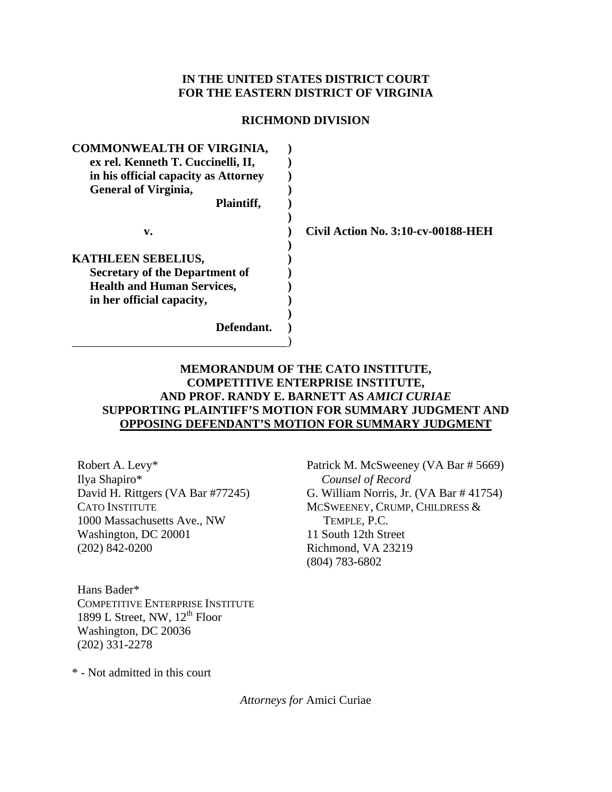### **IN THE UNITED STATES DISTRICT COURT FOR THE EASTERN DISTRICT OF VIRGINIA**

#### **RICHMOND DIVISION**

| <b>COMMONWEALTH OF VIRGINIA,</b>      |                                    |
|---------------------------------------|------------------------------------|
| ex rel. Kenneth T. Cuccinelli, II,    |                                    |
| in his official capacity as Attorney  |                                    |
| <b>General of Virginia,</b>           |                                    |
| Plaintiff,                            |                                    |
|                                       |                                    |
| v.                                    | Civil Action No. 3:10-cv-00188-HEH |
|                                       |                                    |
| <b>KATHLEEN SEBELIUS,</b>             |                                    |
| <b>Secretary of the Department of</b> |                                    |
| <b>Health and Human Services,</b>     |                                    |
| in her official capacity,             |                                    |
|                                       |                                    |
| Defendant.                            |                                    |
|                                       |                                    |

## **MEMORANDUM OF THE CATO INSTITUTE, COMPETITIVE ENTERPRISE INSTITUTE, AND PROF. RANDY E. BARNETT AS** *AMICI CURIAE* **SUPPORTING PLAINTIFF'S MOTION FOR SUMMARY JUDGMENT AND OPPOSING DEFENDANT'S MOTION FOR SUMMARY JUDGMENT**

Robert A. Levy\* Ilya Shapiro\* David H. Rittgers (VA Bar #77245) CATO INSTITUTE 1000 Massachusetts Ave., NW Washington, DC 20001 (202) 842-0200

Patrick M. McSweeney (VA Bar # 5669) *Counsel of Record*  G. William Norris, Jr. (VA Bar # 41754) MCSWEENEY, CRUMP, CHILDRESS & TEMPLE, P.C. 11 South 12th Street Richmond, VA 23219 (804) 783-6802

Hans Bader\* COMPETITIVE ENTERPRISE INSTITUTE 1899 L Street, NW,  $12^{th}$  Floor Washington, DC 20036 (202) 331-2278

\* - Not admitted in this court

*Attorneys for* Amici Curiae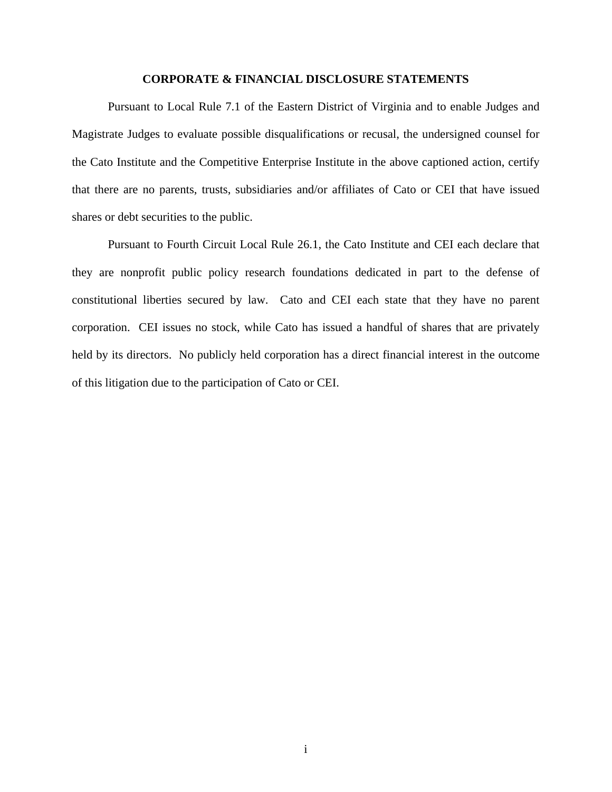#### **CORPORATE & FINANCIAL DISCLOSURE STATEMENTS**

 Pursuant to Local Rule 7.1 of the Eastern District of Virginia and to enable Judges and Magistrate Judges to evaluate possible disqualifications or recusal, the undersigned counsel for the Cato Institute and the Competitive Enterprise Institute in the above captioned action, certify that there are no parents, trusts, subsidiaries and/or affiliates of Cato or CEI that have issued shares or debt securities to the public.

Pursuant to Fourth Circuit Local Rule 26.1, the Cato Institute and CEI each declare that they are nonprofit public policy research foundations dedicated in part to the defense of constitutional liberties secured by law. Cato and CEI each state that they have no parent corporation. CEI issues no stock, while Cato has issued a handful of shares that are privately held by its directors. No publicly held corporation has a direct financial interest in the outcome of this litigation due to the participation of Cato or CEI.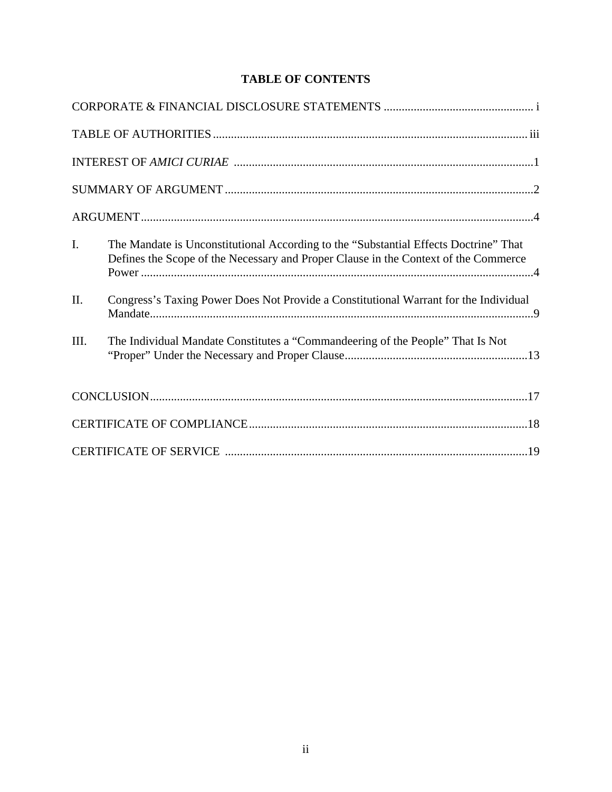# **TABLE OF CONTENTS**

| $\mathbf{I}$ . | The Mandate is Unconstitutional According to the "Substantial Effects Doctrine" That<br>Defines the Scope of the Necessary and Proper Clause in the Context of the Commerce |
|----------------|-----------------------------------------------------------------------------------------------------------------------------------------------------------------------------|
| II.            | Congress's Taxing Power Does Not Provide a Constitutional Warrant for the Individual                                                                                        |
| III.           | The Individual Mandate Constitutes a "Commandeering of the People" That Is Not                                                                                              |
|                |                                                                                                                                                                             |
|                |                                                                                                                                                                             |
|                |                                                                                                                                                                             |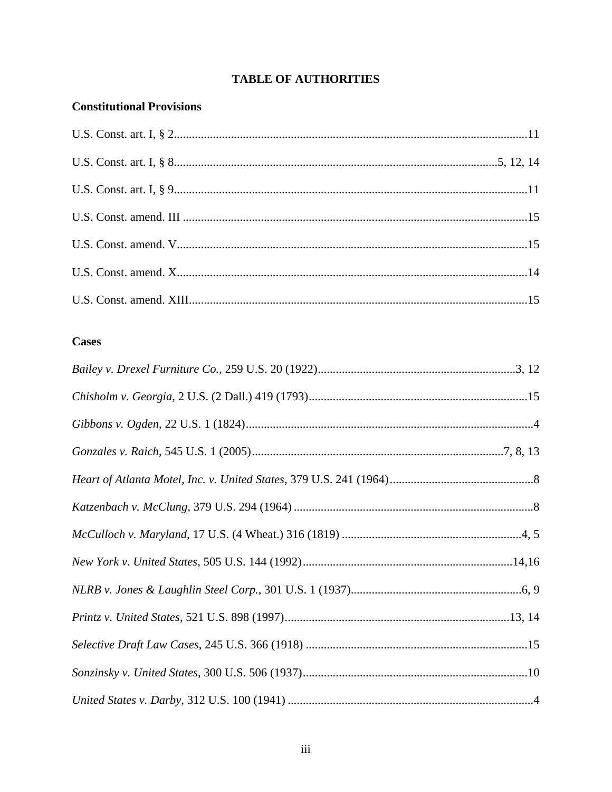# **TABLE OF AUTHORITIES**

## **Constitutional Provisions**

## **Cases**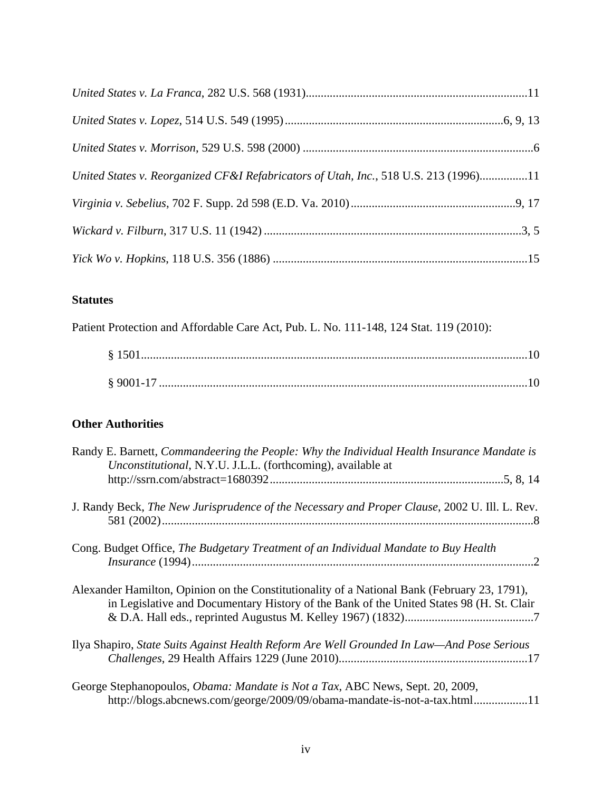| United States v. Reorganized CF&I Refabricators of Utah, Inc., 518 U.S. 213 (1996)11 |  |
|--------------------------------------------------------------------------------------|--|
|                                                                                      |  |
|                                                                                      |  |
|                                                                                      |  |

## **Statutes**

Patient Protection and Affordable Care Act, Pub. L. No. 111-148, 124 Stat. 119 (2010):

| 89001-17 |
|----------|

## **Other Authorities**

| Randy E. Barnett, Commandeering the People: Why the Individual Health Insurance Mandate is<br>Unconstitutional, N.Y.U. J.L.L. (forthcoming), available at                                |  |
|------------------------------------------------------------------------------------------------------------------------------------------------------------------------------------------|--|
|                                                                                                                                                                                          |  |
| J. Randy Beck, The New Jurisprudence of the Necessary and Proper Clause, 2002 U. Ill. L. Rev.                                                                                            |  |
| Cong. Budget Office, The Budgetary Treatment of an Individual Mandate to Buy Health<br>$Insurance (1994) \dots 2$                                                                        |  |
| Alexander Hamilton, Opinion on the Constitutionality of a National Bank (February 23, 1791),<br>in Legislative and Documentary History of the Bank of the United States 98 (H. St. Clair |  |
| Ilya Shapiro, State Suits Against Health Reform Are Well Grounded In Law—And Pose Serious                                                                                                |  |
| George Stephanopoulos, <i>Obama: Mandate is Not a Tax</i> , ABC News, Sept. 20, 2009,<br>http://blogs.abcnews.com/george/2009/09/obama-mandate-is-not-a-tax.html11                       |  |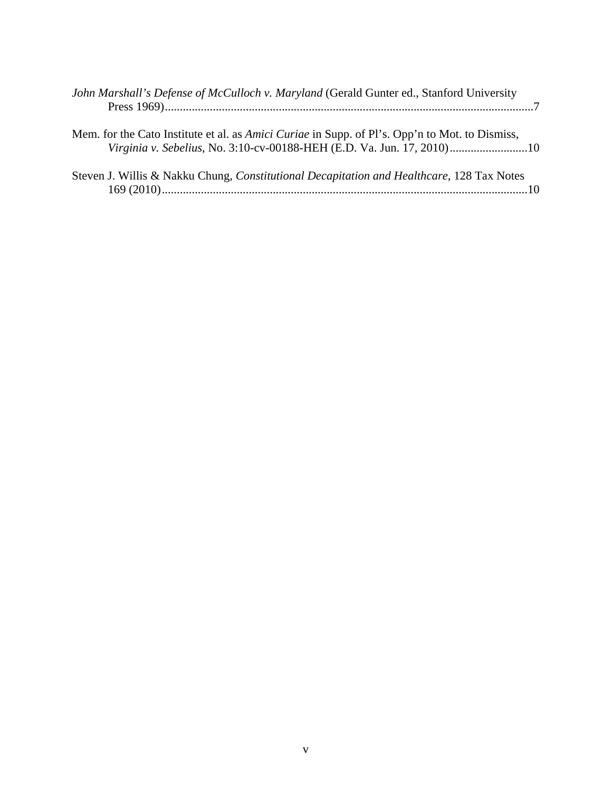| John Marshall's Defense of McCulloch v. Maryland (Gerald Gunter ed., Stanford University                                                                                        |
|---------------------------------------------------------------------------------------------------------------------------------------------------------------------------------|
| Mem. for the Cato Institute et al. as <i>Amici Curiae</i> in Supp. of Pl's. Opp'n to Mot. to Dismiss,<br>Virginia v. Sebelius, No. 3:10-cv-00188-HEH (E.D. Va. Jun. 17, 2010)10 |
| Steven J. Willis & Nakku Chung, Constitutional Decapitation and Healthcare, 128 Tax Notes                                                                                       |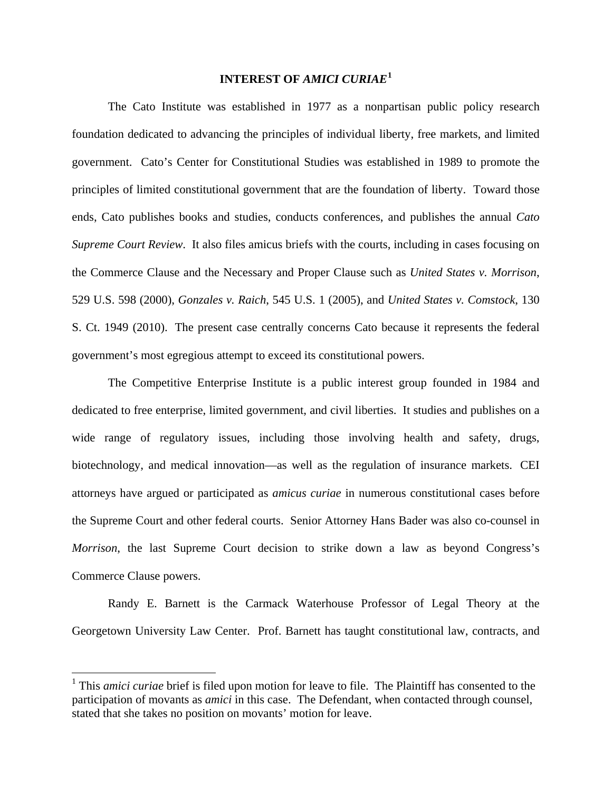### **INTEREST OF** *AMICI CURIAE***[1](#page-6-0)**

 The Cato Institute was established in 1977 as a nonpartisan public policy research foundation dedicated to advancing the principles of individual liberty, free markets, and limited government. Cato's Center for Constitutional Studies was established in 1989 to promote the principles of limited constitutional government that are the foundation of liberty. Toward those ends, Cato publishes books and studies, conducts conferences, and publishes the annual *Cato Supreme Court Review*. It also files amicus briefs with the courts, including in cases focusing on the Commerce Clause and the Necessary and Proper Clause such as *United States v. Morrison*, 529 U.S. 598 (2000), *Gonzales v. Raich*, 545 U.S. 1 (2005), and *United States v. Comstock*, 130 S. Ct. 1949 (2010). The present case centrally concerns Cato because it represents the federal government's most egregious attempt to exceed its constitutional powers.

 The Competitive Enterprise Institute is a public interest group founded in 1984 and dedicated to free enterprise, limited government, and civil liberties. It studies and publishes on a wide range of regulatory issues, including those involving health and safety, drugs, biotechnology, and medical innovation—as well as the regulation of insurance markets. CEI attorneys have argued or participated as *amicus curiae* in numerous constitutional cases before the Supreme Court and other federal courts. Senior Attorney Hans Bader was also co-counsel in *Morrison*, the last Supreme Court decision to strike down a law as beyond Congress's Commerce Clause powers.

Randy E. Barnett is the Carmack Waterhouse Professor of Legal Theory at the Georgetown University Law Center. Prof. Barnett has taught constitutional law, contracts, and

 $\overline{a}$ 

<span id="page-6-0"></span><sup>&</sup>lt;sup>1</sup> This *amici curiae* brief is filed upon motion for leave to file. The Plaintiff has consented to the participation of movants as *amici* in this case. The Defendant, when contacted through counsel, stated that she takes no position on movants' motion for leave.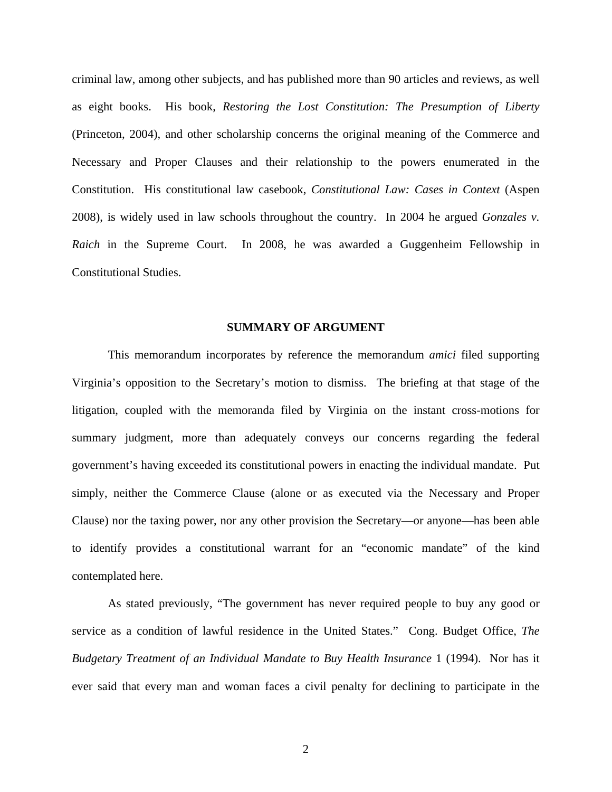criminal law, among other subjects, and has published more than 90 articles and reviews, as well as eight books. His book, *Restoring the Lost Constitution: The Presumption of Liberty* (Princeton, 2004), and other scholarship concerns the original meaning of the Commerce and Necessary and Proper Clauses and their relationship to the powers enumerated in the Constitution. His constitutional law casebook, *Constitutional Law: Cases in Context* (Aspen 2008), is widely used in law schools throughout the country. In 2004 he argued *Gonzales v. Raich* in the Supreme Court. In 2008, he was awarded a Guggenheim Fellowship in Constitutional Studies.

#### **SUMMARY OF ARGUMENT**

This memorandum incorporates by reference the memorandum *amici* filed supporting Virginia's opposition to the Secretary's motion to dismiss. The briefing at that stage of the litigation, coupled with the memoranda filed by Virginia on the instant cross-motions for summary judgment, more than adequately conveys our concerns regarding the federal government's having exceeded its constitutional powers in enacting the individual mandate. Put simply, neither the Commerce Clause (alone or as executed via the Necessary and Proper Clause) nor the taxing power, nor any other provision the Secretary—or anyone—has been able to identify provides a constitutional warrant for an "economic mandate" of the kind contemplated here.

As stated previously, "The government has never required people to buy any good or service as a condition of lawful residence in the United States." Cong. Budget Office, *The Budgetary Treatment of an Individual Mandate to Buy Health Insurance* 1 (1994). Nor has it ever said that every man and woman faces a civil penalty for declining to participate in the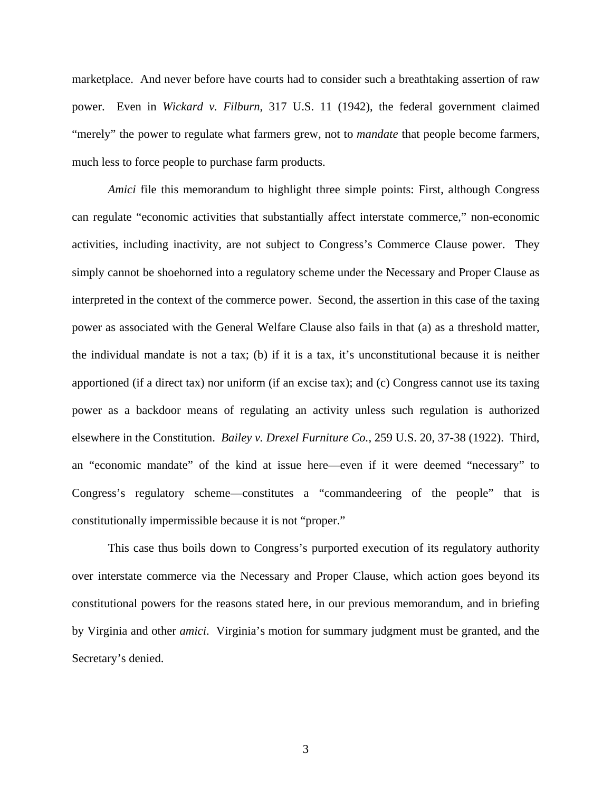marketplace. And never before have courts had to consider such a breathtaking assertion of raw power. Even in *Wickard v. Filburn*, 317 U.S. 11 (1942), the federal government claimed "merely" the power to regulate what farmers grew, not to *mandate* that people become farmers, much less to force people to purchase farm products.

*Amici* file this memorandum to highlight three simple points: First, although Congress can regulate "economic activities that substantially affect interstate commerce," non-economic activities, including inactivity, are not subject to Congress's Commerce Clause power. They simply cannot be shoehorned into a regulatory scheme under the Necessary and Proper Clause as interpreted in the context of the commerce power. Second, the assertion in this case of the taxing power as associated with the General Welfare Clause also fails in that (a) as a threshold matter, the individual mandate is not a tax; (b) if it is a tax, it's unconstitutional because it is neither apportioned (if a direct tax) nor uniform (if an excise tax); and (c) Congress cannot use its taxing power as a backdoor means of regulating an activity unless such regulation is authorized elsewhere in the Constitution. *Bailey v. Drexel Furniture Co.*, 259 U.S. 20, 37-38 (1922). Third, an "economic mandate" of the kind at issue here—even if it were deemed "necessary" to Congress's regulatory scheme—constitutes a "commandeering of the people" that is constitutionally impermissible because it is not "proper."

This case thus boils down to Congress's purported execution of its regulatory authority over interstate commerce via the Necessary and Proper Clause, which action goes beyond its constitutional powers for the reasons stated here, in our previous memorandum, and in briefing by Virginia and other *amici*. Virginia's motion for summary judgment must be granted, and the Secretary's denied.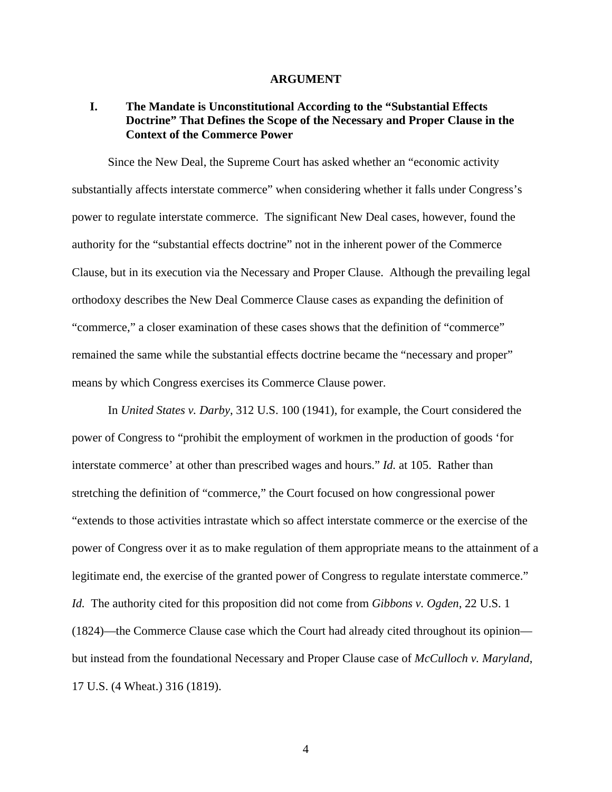#### **ARGUMENT**

### **I. The Mandate is Unconstitutional According to the "Substantial Effects Doctrine" That Defines the Scope of the Necessary and Proper Clause in the Context of the Commerce Power**

 Since the New Deal, the Supreme Court has asked whether an "economic activity substantially affects interstate commerce" when considering whether it falls under Congress's power to regulate interstate commerce. The significant New Deal cases, however, found the authority for the "substantial effects doctrine" not in the inherent power of the Commerce Clause, but in its execution via the Necessary and Proper Clause. Although the prevailing legal orthodoxy describes the New Deal Commerce Clause cases as expanding the definition of "commerce," a closer examination of these cases shows that the definition of "commerce" remained the same while the substantial effects doctrine became the "necessary and proper" means by which Congress exercises its Commerce Clause power.

 In *United States v. Darby*, 312 U.S. 100 (1941), for example, the Court considered the power of Congress to "prohibit the employment of workmen in the production of goods 'for interstate commerce' at other than prescribed wages and hours." *Id.* at 105. Rather than stretching the definition of "commerce," the Court focused on how congressional power "extends to those activities intrastate which so affect interstate commerce or the exercise of the power of Congress over it as to make regulation of them appropriate means to the attainment of a legitimate end, the exercise of the granted power of Congress to regulate interstate commerce." *Id.* The authority cited for this proposition did not come from *Gibbons v. Ogden*, 22 U.S. 1 (1824)—the Commerce Clause case which the Court had already cited throughout its opinion but instead from the foundational Necessary and Proper Clause case of *McCulloch v. Maryland*, 17 U.S. (4 Wheat.) 316 (1819).

4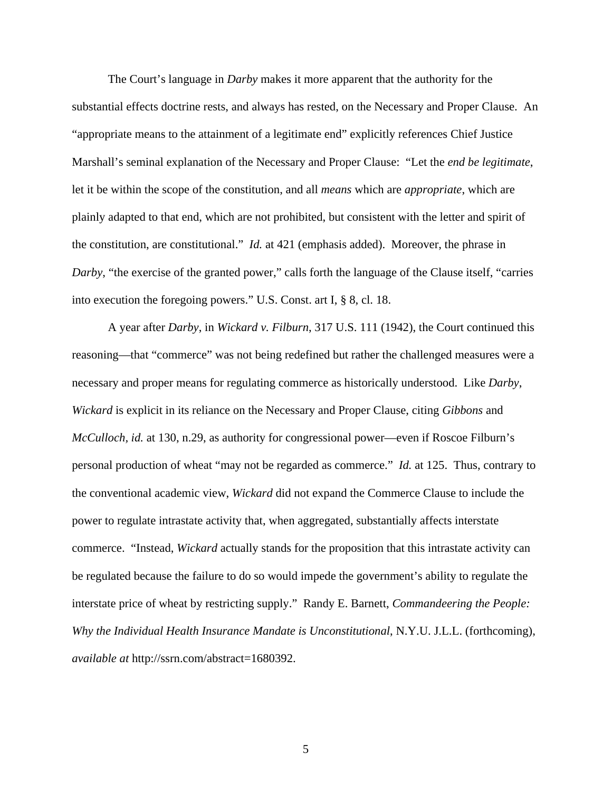The Court's language in *Darby* makes it more apparent that the authority for the substantial effects doctrine rests, and always has rested, on the Necessary and Proper Clause. An "appropriate means to the attainment of a legitimate end" explicitly references Chief Justice Marshall's seminal explanation of the Necessary and Proper Clause: "Let the *end be legitimate*, let it be within the scope of the constitution, and all *means* which are *appropriate*, which are plainly adapted to that end, which are not prohibited, but consistent with the letter and spirit of the constitution, are constitutional." *Id.* at 421 (emphasis added). Moreover, the phrase in *Darby*, "the exercise of the granted power," calls forth the language of the Clause itself, "carries into execution the foregoing powers." U.S. Const. art I, § 8, cl. 18.

 A year after *Darby*, in *Wickard v. Filburn*, 317 U.S. 111 (1942), the Court continued this reasoning—that "commerce" was not being redefined but rather the challenged measures were a necessary and proper means for regulating commerce as historically understood. Like *Darby*, *Wickard* is explicit in its reliance on the Necessary and Proper Clause, citing *Gibbons* and *McCulloch, id.* at 130, n.29, as authority for congressional power—even if Roscoe Filburn's personal production of wheat "may not be regarded as commerce." *Id.* at 125. Thus, contrary to the conventional academic view, *Wickard* did not expand the Commerce Clause to include the power to regulate intrastate activity that, when aggregated, substantially affects interstate commerce. "Instead, *Wickard* actually stands for the proposition that this intrastate activity can be regulated because the failure to do so would impede the government's ability to regulate the interstate price of wheat by restricting supply." Randy E. Barnett, *Commandeering the People: Why the Individual Health Insurance Mandate is Unconstitutional*, N.Y.U. J.L.L. (forthcoming), *available at* http://ssrn.com/abstract=1680392.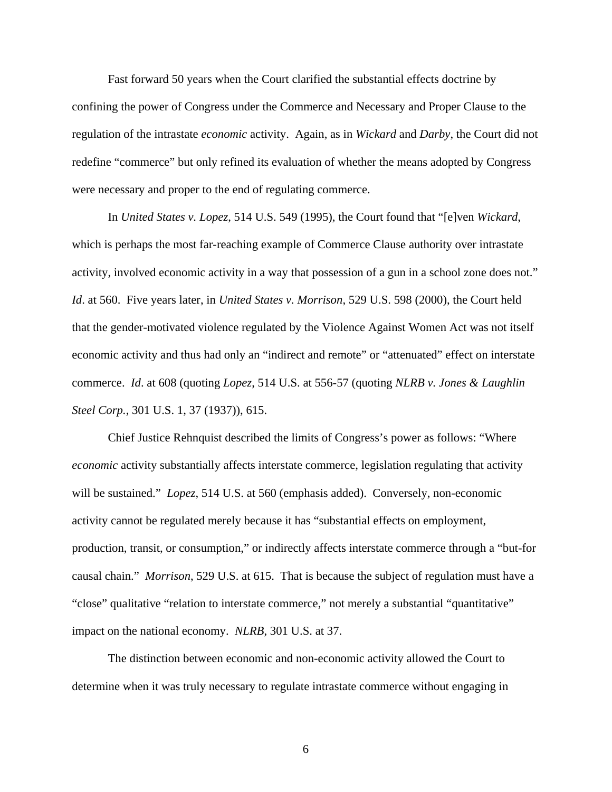Fast forward 50 years when the Court clarified the substantial effects doctrine by confining the power of Congress under the Commerce and Necessary and Proper Clause to the regulation of the intrastate *economic* activity. Again, as in *Wickard* and *Darby*, the Court did not redefine "commerce" but only refined its evaluation of whether the means adopted by Congress were necessary and proper to the end of regulating commerce.

 In *United States v. Lopez*, 514 U.S. 549 (1995), the Court found that "[e]ven *Wickard*, which is perhaps the most far-reaching example of Commerce Clause authority over intrastate activity, involved economic activity in a way that possession of a gun in a school zone does not." *Id*. at 560. Five years later, in *United States v. Morrison*, 529 U.S. 598 (2000), the Court held that the gender-motivated violence regulated by the Violence Against Women Act was not itself economic activity and thus had only an "indirect and remote" or "attenuated" effect on interstate commerce. *Id*. at 608 (quoting *Lopez*, 514 U.S. at 556-57 (quoting *NLRB v. Jones & Laughlin Steel Corp.*, 301 U.S. 1, 37 (1937)), 615.

 Chief Justice Rehnquist described the limits of Congress's power as follows: "Where *economic* activity substantially affects interstate commerce, legislation regulating that activity will be sustained." *Lopez*, 514 U.S. at 560 (emphasis added). Conversely, non-economic activity cannot be regulated merely because it has "substantial effects on employment, production, transit, or consumption," or indirectly affects interstate commerce through a "but-for causal chain." *Morrison*, 529 U.S. at 615. That is because the subject of regulation must have a "close" qualitative "relation to interstate commerce," not merely a substantial "quantitative" impact on the national economy. *NLRB*, 301 U.S. at 37.

 The distinction between economic and non-economic activity allowed the Court to determine when it was truly necessary to regulate intrastate commerce without engaging in

6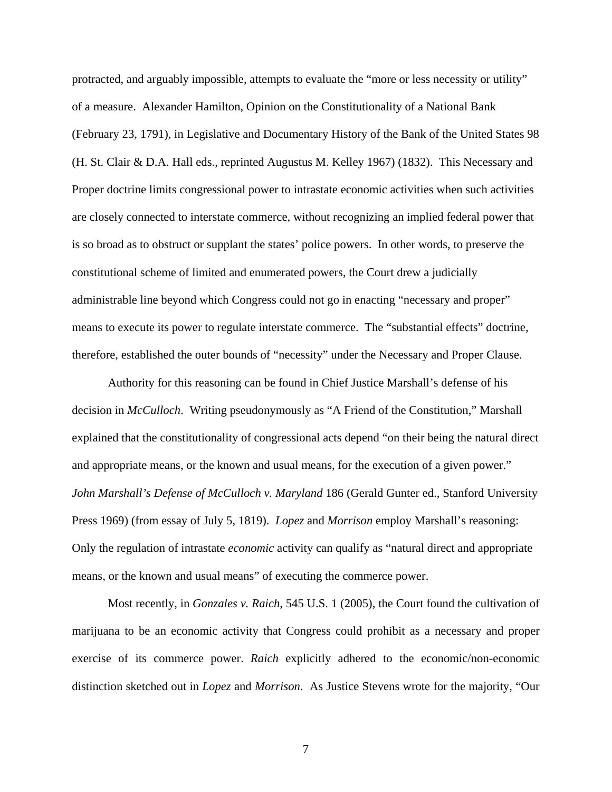protracted, and arguably impossible, attempts to evaluate the "more or less necessity or utility" of a measure. Alexander Hamilton, Opinion on the Constitutionality of a National Bank (February 23, 1791), in Legislative and Documentary History of the Bank of the United States 98 (H. St. Clair & D.A. Hall eds., reprinted Augustus M. Kelley 1967) (1832). This Necessary and Proper doctrine limits congressional power to intrastate economic activities when such activities are closely connected to interstate commerce, without recognizing an implied federal power that is so broad as to obstruct or supplant the states' police powers. In other words, to preserve the constitutional scheme of limited and enumerated powers, the Court drew a judicially administrable line beyond which Congress could not go in enacting "necessary and proper" means to execute its power to regulate interstate commerce. The "substantial effects" doctrine, therefore, established the outer bounds of "necessity" under the Necessary and Proper Clause.

 Authority for this reasoning can be found in Chief Justice Marshall's defense of his decision in *McCulloch*. Writing pseudonymously as "A Friend of the Constitution," Marshall explained that the constitutionality of congressional acts depend "on their being the natural direct and appropriate means, or the known and usual means, for the execution of a given power." *John Marshall's Defense of McCulloch v. Maryland* 186 (Gerald Gunter ed., Stanford University Press 1969) (from essay of July 5, 1819). *Lopez* and *Morrison* employ Marshall's reasoning: Only the regulation of intrastate *economic* activity can qualify as "natural direct and appropriate means, or the known and usual means" of executing the commerce power.

Most recently, in *Gonzales v. Raich*, 545 U.S. 1 (2005), the Court found the cultivation of marijuana to be an economic activity that Congress could prohibit as a necessary and proper exercise of its commerce power. *Raich* explicitly adhered to the economic/non-economic distinction sketched out in *Lopez* and *Morrison*. As Justice Stevens wrote for the majority, "Our

7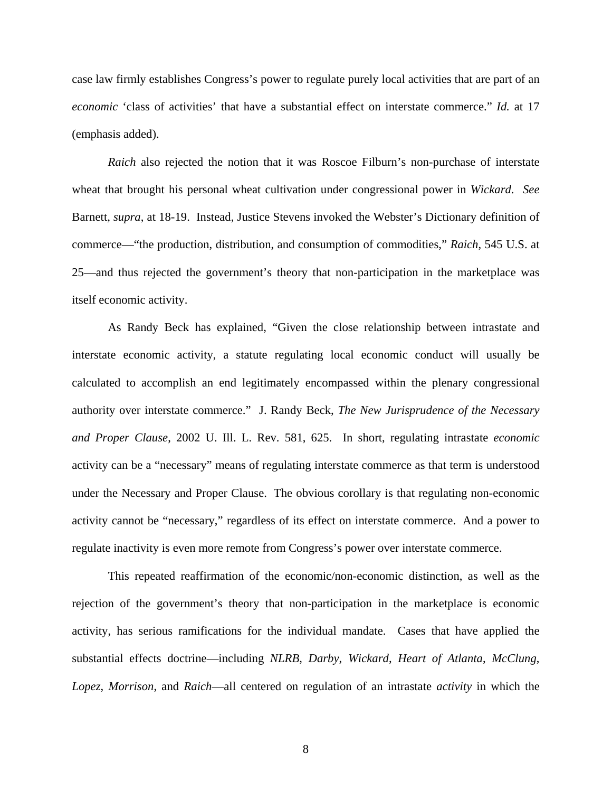case law firmly establishes Congress's power to regulate purely local activities that are part of an *economic* 'class of activities' that have a substantial effect on interstate commerce." *Id.* at 17 (emphasis added).

*Raich* also rejected the notion that it was Roscoe Filburn's non-purchase of interstate wheat that brought his personal wheat cultivation under congressional power in *Wickard*. *See* Barnett, *supra*, at 18-19. Instead, Justice Stevens invoked the Webster's Dictionary definition of commerce—"the production, distribution, and consumption of commodities," *Raich*, 545 U.S. at 25—and thus rejected the government's theory that non-participation in the marketplace was itself economic activity.

As Randy Beck has explained, "Given the close relationship between intrastate and interstate economic activity, a statute regulating local economic conduct will usually be calculated to accomplish an end legitimately encompassed within the plenary congressional authority over interstate commerce." J. Randy Beck, *The New Jurisprudence of the Necessary and Proper Clause*, 2002 U. Ill. L. Rev. 581, 625. In short, regulating intrastate *economic* activity can be a "necessary" means of regulating interstate commerce as that term is understood under the Necessary and Proper Clause. The obvious corollary is that regulating non-economic activity cannot be "necessary," regardless of its effect on interstate commerce. And a power to regulate inactivity is even more remote from Congress's power over interstate commerce.

This repeated reaffirmation of the economic/non-economic distinction, as well as the rejection of the government's theory that non-participation in the marketplace is economic activity, has serious ramifications for the individual mandate. Cases that have applied the substantial effects doctrine—including *NLRB*, *Darby*, *Wickard*, *Heart of Atlanta*, *McClung*, *Lopez*, *Morrison*, and *Raich*—all centered on regulation of an intrastate *activity* in which the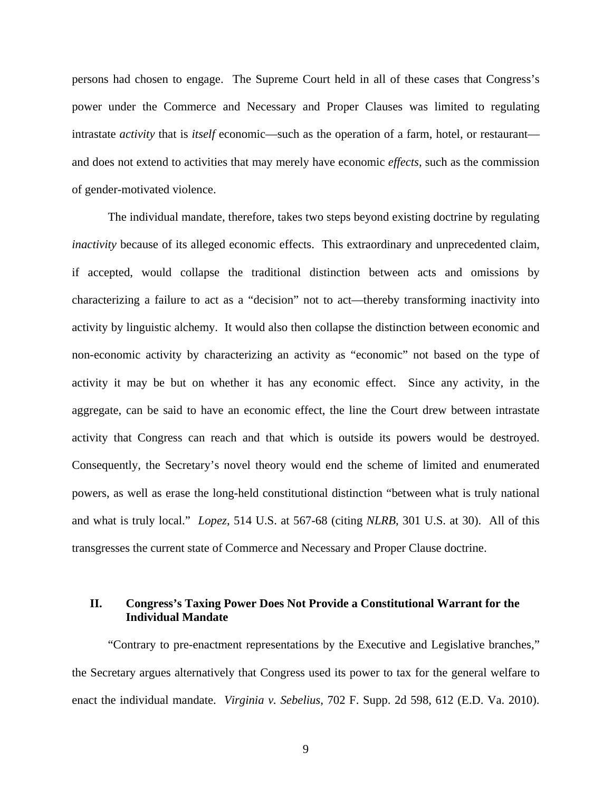persons had chosen to engage. The Supreme Court held in all of these cases that Congress's power under the Commerce and Necessary and Proper Clauses was limited to regulating intrastate *activity* that is *itself* economic—such as the operation of a farm, hotel, or restaurant and does not extend to activities that may merely have economic *effects*, such as the commission of gender-motivated violence.

 The individual mandate, therefore, takes two steps beyond existing doctrine by regulating *inactivity* because of its alleged economic effects. This extraordinary and unprecedented claim, if accepted, would collapse the traditional distinction between acts and omissions by characterizing a failure to act as a "decision" not to act—thereby transforming inactivity into activity by linguistic alchemy. It would also then collapse the distinction between economic and non-economic activity by characterizing an activity as "economic" not based on the type of activity it may be but on whether it has any economic effect. Since any activity, in the aggregate, can be said to have an economic effect, the line the Court drew between intrastate activity that Congress can reach and that which is outside its powers would be destroyed. Consequently, the Secretary's novel theory would end the scheme of limited and enumerated powers, as well as erase the long-held constitutional distinction "between what is truly national and what is truly local." *Lopez*, 514 U.S. at 567-68 (citing *NLRB*, 301 U.S. at 30). All of this transgresses the current state of Commerce and Necessary and Proper Clause doctrine.

### **II. Congress's Taxing Power Does Not Provide a Constitutional Warrant for the Individual Mandate**

"Contrary to pre-enactment representations by the Executive and Legislative branches," the Secretary argues alternatively that Congress used its power to tax for the general welfare to enact the individual mandate. *Virginia v. Sebelius*, 702 F. Supp. 2d 598, 612 (E.D. Va. 2010).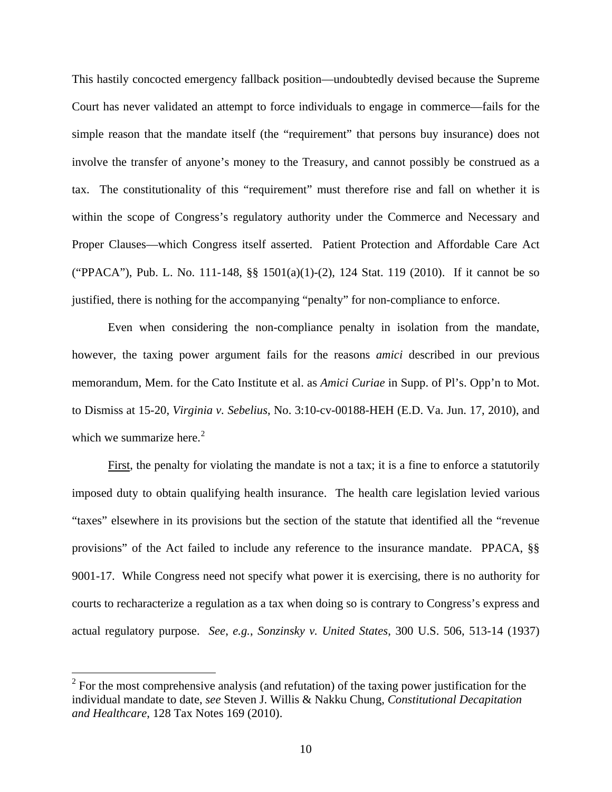This hastily concocted emergency fallback position—undoubtedly devised because the Supreme Court has never validated an attempt to force individuals to engage in commerce—fails for the simple reason that the mandate itself (the "requirement" that persons buy insurance) does not involve the transfer of anyone's money to the Treasury, and cannot possibly be construed as a tax. The constitutionality of this "requirement" must therefore rise and fall on whether it is within the scope of Congress's regulatory authority under the Commerce and Necessary and Proper Clauses—which Congress itself asserted. Patient Protection and Affordable Care Act ("PPACA"), Pub. L. No. 111-148, §§ 1501(a)(1)-(2), 124 Stat. 119 (2010). If it cannot be so justified, there is nothing for the accompanying "penalty" for non-compliance to enforce.

Even when considering the non-compliance penalty in isolation from the mandate, however, the taxing power argument fails for the reasons *amici* described in our previous memorandum, Mem. for the Cato Institute et al. as *Amici Curiae* in Supp. of Pl's. Opp'n to Mot. to Dismiss at 15-20, *Virginia v. Sebelius*, No. 3:10-cv-00188-HEH (E.D. Va. Jun. 17, 2010), and which we summarize here. $2$ 

First, the penalty for violating the mandate is not a tax; it is a fine to enforce a statutorily imposed duty to obtain qualifying health insurance. The health care legislation levied various "taxes" elsewhere in its provisions but the section of the statute that identified all the "revenue provisions" of the Act failed to include any reference to the insurance mandate. PPACA, §§ 9001-17. While Congress need not specify what power it is exercising, there is no authority for courts to recharacterize a regulation as a tax when doing so is contrary to Congress's express and actual regulatory purpose. *See*, *e.g.*, *Sonzinsky v. United States*, 300 U.S. 506, 513-14 (1937)

 $\overline{a}$ 

<span id="page-15-0"></span> $2^2$  For the most comprehensive analysis (and refutation) of the taxing power justification for the individual mandate to date, *see* Steven J. Willis & Nakku Chung, *Constitutional Decapitation and Healthcare*, 128 Tax Notes 169 (2010).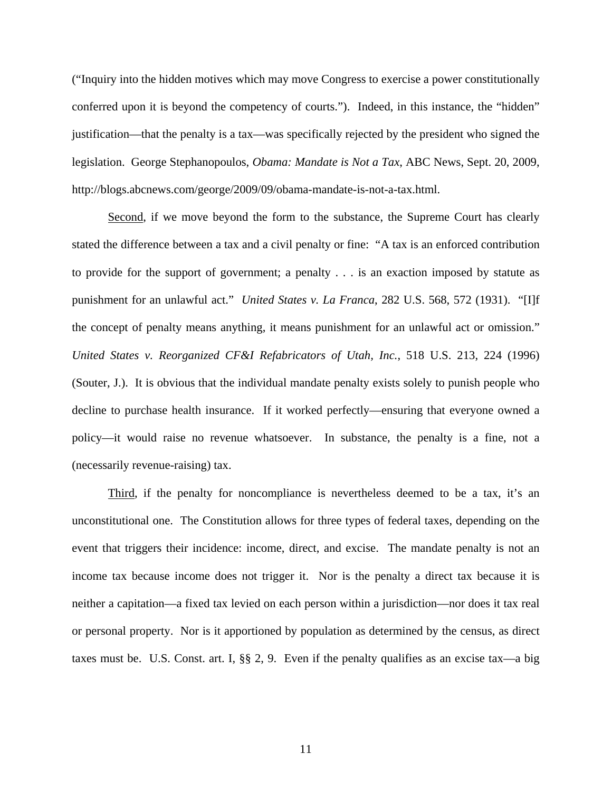("Inquiry into the hidden motives which may move Congress to exercise a power constitutionally conferred upon it is beyond the competency of courts."). Indeed, in this instance, the "hidden" justification—that the penalty is a tax—was specifically rejected by the president who signed the legislation. George Stephanopoulos, *Obama: Mandate is Not a Tax*, ABC News, Sept. 20, 2009, http://blogs.abcnews.com/george/2009/09/obama-mandate-is-not-a-tax.html.

Second, if we move beyond the form to the substance, the Supreme Court has clearly stated the difference between a tax and a civil penalty or fine: "A tax is an enforced contribution to provide for the support of government; a penalty . . . is an exaction imposed by statute as punishment for an unlawful act." *United States v. La Franca*, 282 U.S. 568, 572 (1931). "[I]f the concept of penalty means anything, it means punishment for an unlawful act or omission." *United States v. Reorganized CF&I Refabricators of Utah, Inc.*, 518 U.S. 213, 224 (1996) (Souter, J.). It is obvious that the individual mandate penalty exists solely to punish people who decline to purchase health insurance. If it worked perfectly—ensuring that everyone owned a policy—it would raise no revenue whatsoever. In substance, the penalty is a fine, not a (necessarily revenue-raising) tax.

Third, if the penalty for noncompliance is nevertheless deemed to be a tax, it's an unconstitutional one. The Constitution allows for three types of federal taxes, depending on the event that triggers their incidence: income, direct, and excise. The mandate penalty is not an income tax because income does not trigger it. Nor is the penalty a direct tax because it is neither a capitation—a fixed tax levied on each person within a jurisdiction—nor does it tax real or personal property. Nor is it apportioned by population as determined by the census, as direct taxes must be. U.S. Const. art. I, §§ 2, 9. Even if the penalty qualifies as an excise tax—a big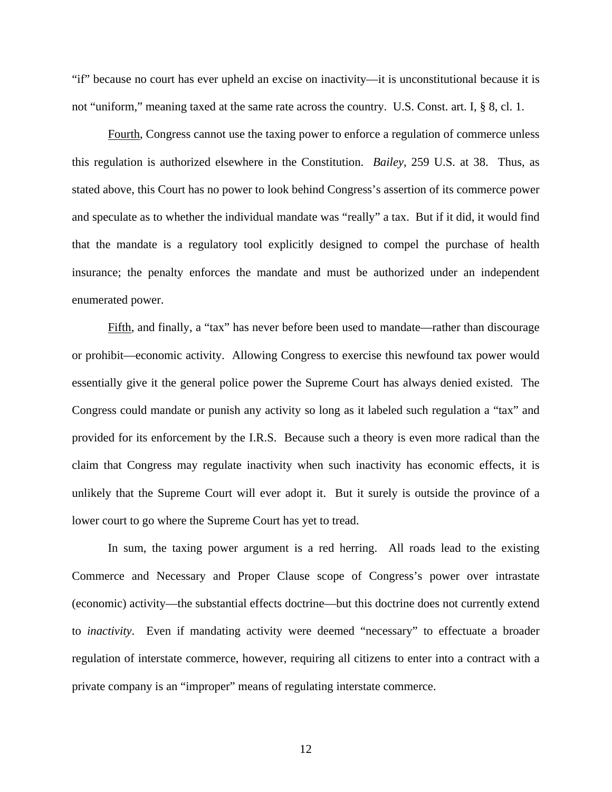"if" because no court has ever upheld an excise on inactivity—it is unconstitutional because it is not "uniform," meaning taxed at the same rate across the country. U.S. Const. art. I, § 8, cl. 1.

Fourth, Congress cannot use the taxing power to enforce a regulation of commerce unless this regulation is authorized elsewhere in the Constitution. *Bailey*, 259 U.S. at 38. Thus, as stated above, this Court has no power to look behind Congress's assertion of its commerce power and speculate as to whether the individual mandate was "really" a tax. But if it did, it would find that the mandate is a regulatory tool explicitly designed to compel the purchase of health insurance; the penalty enforces the mandate and must be authorized under an independent enumerated power.

Fifth, and finally, a "tax" has never before been used to mandate—rather than discourage or prohibit—economic activity. Allowing Congress to exercise this newfound tax power would essentially give it the general police power the Supreme Court has always denied existed. The Congress could mandate or punish any activity so long as it labeled such regulation a "tax" and provided for its enforcement by the I.R.S. Because such a theory is even more radical than the claim that Congress may regulate inactivity when such inactivity has economic effects, it is unlikely that the Supreme Court will ever adopt it. But it surely is outside the province of a lower court to go where the Supreme Court has yet to tread.

In sum, the taxing power argument is a red herring. All roads lead to the existing Commerce and Necessary and Proper Clause scope of Congress's power over intrastate (economic) activity—the substantial effects doctrine—but this doctrine does not currently extend to *inactivity*. Even if mandating activity were deemed "necessary" to effectuate a broader regulation of interstate commerce, however, requiring all citizens to enter into a contract with a private company is an "improper" means of regulating interstate commerce.

12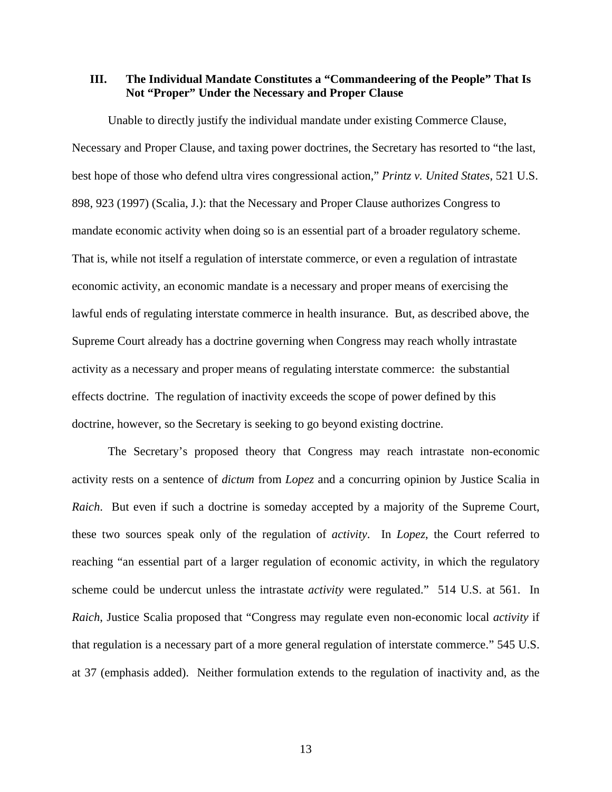### **III. The Individual Mandate Constitutes a "Commandeering of the People" That Is Not "Proper" Under the Necessary and Proper Clause**

Unable to directly justify the individual mandate under existing Commerce Clause, Necessary and Proper Clause, and taxing power doctrines, the Secretary has resorted to "the last, best hope of those who defend ultra vires congressional action," *Printz v. United States*, 521 U.S. 898, 923 (1997) (Scalia, J.): that the Necessary and Proper Clause authorizes Congress to mandate economic activity when doing so is an essential part of a broader regulatory scheme. That is, while not itself a regulation of interstate commerce, or even a regulation of intrastate economic activity, an economic mandate is a necessary and proper means of exercising the lawful ends of regulating interstate commerce in health insurance. But, as described above, the Supreme Court already has a doctrine governing when Congress may reach wholly intrastate activity as a necessary and proper means of regulating interstate commerce: the substantial effects doctrine. The regulation of inactivity exceeds the scope of power defined by this doctrine, however, so the Secretary is seeking to go beyond existing doctrine.

The Secretary's proposed theory that Congress may reach intrastate non-economic activity rests on a sentence of *dictum* from *Lopez* and a concurring opinion by Justice Scalia in *Raich*. But even if such a doctrine is someday accepted by a majority of the Supreme Court, these two sources speak only of the regulation of *activity*. In *Lopez*, the Court referred to reaching "an essential part of a larger regulation of economic activity, in which the regulatory scheme could be undercut unless the intrastate *activity* were regulated." 514 U.S. at 561. In *Raich*, Justice Scalia proposed that "Congress may regulate even non-economic local *activity* if that regulation is a necessary part of a more general regulation of interstate commerce." 545 U.S. at 37 (emphasis added). Neither formulation extends to the regulation of inactivity and, as the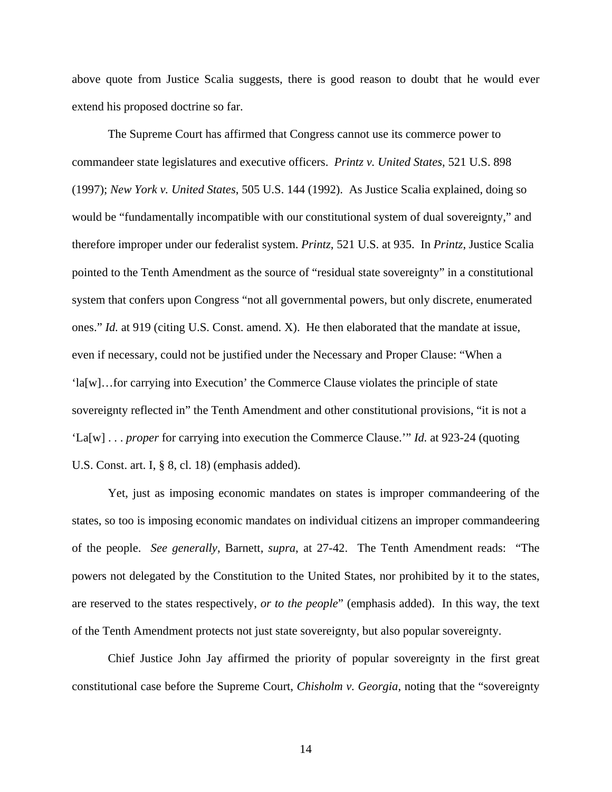above quote from Justice Scalia suggests, there is good reason to doubt that he would ever extend his proposed doctrine so far.

The Supreme Court has affirmed that Congress cannot use its commerce power to commandeer state legislatures and executive officers. *Printz v. United States*, 521 U.S. 898 (1997); *New York v. United States*, 505 U.S. 144 (1992). As Justice Scalia explained, doing so would be "fundamentally incompatible with our constitutional system of dual sovereignty," and therefore improper under our federalist system. *Printz*, 521 U.S. at 935. In *Printz*, Justice Scalia pointed to the Tenth Amendment as the source of "residual state sovereignty" in a constitutional system that confers upon Congress "not all governmental powers, but only discrete, enumerated ones." *Id.* at 919 (citing U.S. Const. amend. X). He then elaborated that the mandate at issue, even if necessary, could not be justified under the Necessary and Proper Clause: "When a 'la[w]…for carrying into Execution' the Commerce Clause violates the principle of state sovereignty reflected in" the Tenth Amendment and other constitutional provisions, "it is not a 'La[w] . . . *proper* for carrying into execution the Commerce Clause.'" *Id.* at 923-24 (quoting U.S. Const. art. I, § 8, cl. 18) (emphasis added).

Yet, just as imposing economic mandates on states is improper commandeering of the states, so too is imposing economic mandates on individual citizens an improper commandeering of the people. *See generally*, Barnett, *supra*, at 27-42. The Tenth Amendment reads: "The powers not delegated by the Constitution to the United States, nor prohibited by it to the states, are reserved to the states respectively, *or to the people*" (emphasis added). In this way, the text of the Tenth Amendment protects not just state sovereignty, but also popular sovereignty.

Chief Justice John Jay affirmed the priority of popular sovereignty in the first great constitutional case before the Supreme Court, *Chisholm v. Georgia*, noting that the "sovereignty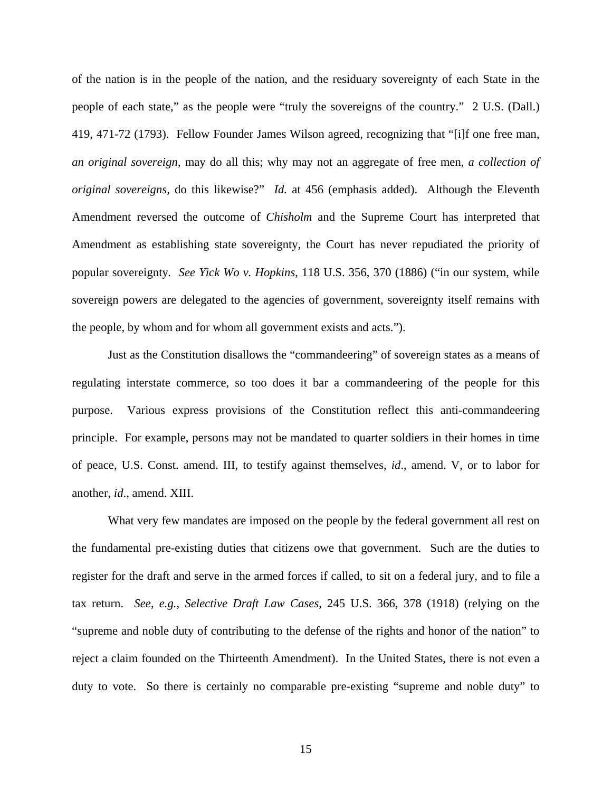of the nation is in the people of the nation, and the residuary sovereignty of each State in the people of each state," as the people were "truly the sovereigns of the country." 2 U.S. (Dall.) 419, 471-72 (1793). Fellow Founder James Wilson agreed, recognizing that "[i]f one free man, *an original sovereign*, may do all this; why may not an aggregate of free men, *a collection of original sovereigns*, do this likewise?" *Id.* at 456 (emphasis added). Although the Eleventh Amendment reversed the outcome of *Chisholm* and the Supreme Court has interpreted that Amendment as establishing state sovereignty, the Court has never repudiated the priority of popular sovereignty*. See Yick Wo v. Hopkins*, 118 U.S. 356, 370 (1886) ("in our system, while sovereign powers are delegated to the agencies of government, sovereignty itself remains with the people, by whom and for whom all government exists and acts.").

Just as the Constitution disallows the "commandeering" of sovereign states as a means of regulating interstate commerce, so too does it bar a commandeering of the people for this purpose. Various express provisions of the Constitution reflect this anti-commandeering principle. For example, persons may not be mandated to quarter soldiers in their homes in time of peace, U.S. Const. amend. III, to testify against themselves, *id*., amend. V, or to labor for another, *id*., amend. XIII.

What very few mandates are imposed on the people by the federal government all rest on the fundamental pre-existing duties that citizens owe that government. Such are the duties to register for the draft and serve in the armed forces if called, to sit on a federal jury, and to file a tax return. *See*, *e.g.*, *Selective Draft Law Cases*, 245 U.S. 366, 378 (1918) (relying on the "supreme and noble duty of contributing to the defense of the rights and honor of the nation" to reject a claim founded on the Thirteenth Amendment). In the United States, there is not even a duty to vote. So there is certainly no comparable pre-existing "supreme and noble duty" to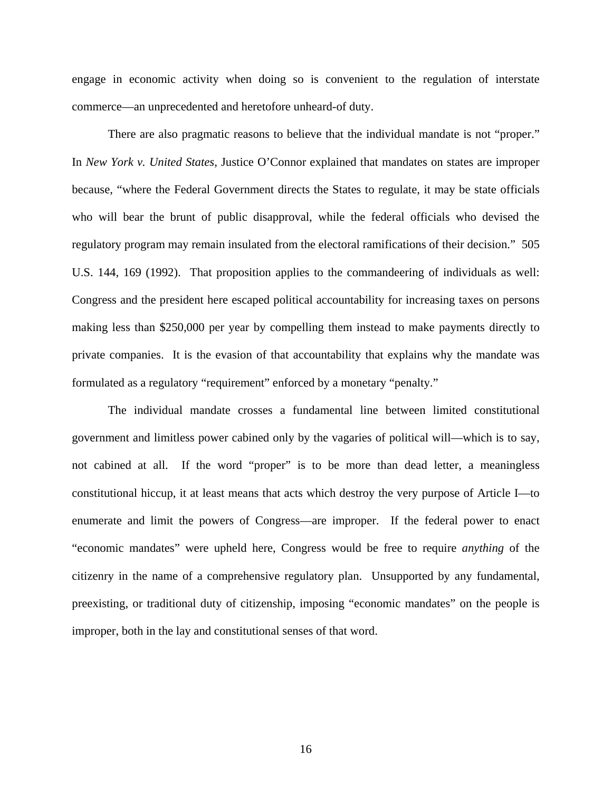engage in economic activity when doing so is convenient to the regulation of interstate commerce—an unprecedented and heretofore unheard-of duty.

There are also pragmatic reasons to believe that the individual mandate is not "proper." In *New York v. United States*, Justice O'Connor explained that mandates on states are improper because, "where the Federal Government directs the States to regulate, it may be state officials who will bear the brunt of public disapproval, while the federal officials who devised the regulatory program may remain insulated from the electoral ramifications of their decision." 505 U.S. 144, 169 (1992). That proposition applies to the commandeering of individuals as well: Congress and the president here escaped political accountability for increasing taxes on persons making less than \$250,000 per year by compelling them instead to make payments directly to private companies. It is the evasion of that accountability that explains why the mandate was formulated as a regulatory "requirement" enforced by a monetary "penalty."

The individual mandate crosses a fundamental line between limited constitutional government and limitless power cabined only by the vagaries of political will—which is to say, not cabined at all. If the word "proper" is to be more than dead letter, a meaningless constitutional hiccup, it at least means that acts which destroy the very purpose of Article I—to enumerate and limit the powers of Congress—are improper. If the federal power to enact "economic mandates" were upheld here, Congress would be free to require *anything* of the citizenry in the name of a comprehensive regulatory plan. Unsupported by any fundamental, preexisting, or traditional duty of citizenship, imposing "economic mandates" on the people is improper, both in the lay and constitutional senses of that word.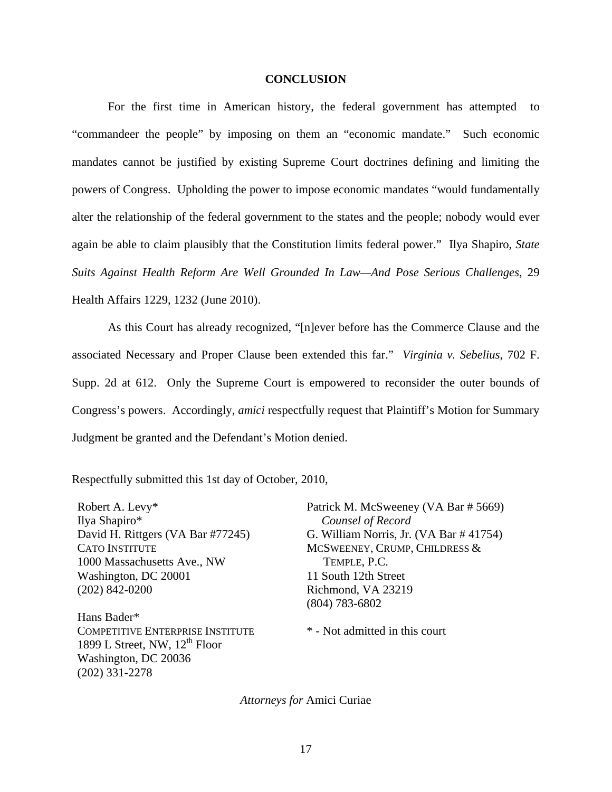#### **CONCLUSION**

For the first time in American history, the federal government has attempted to "commandeer the people" by imposing on them an "economic mandate." Such economic mandates cannot be justified by existing Supreme Court doctrines defining and limiting the powers of Congress. Upholding the power to impose economic mandates "would fundamentally alter the relationship of the federal government to the states and the people; nobody would ever again be able to claim plausibly that the Constitution limits federal power." Ilya Shapiro, *State Suits Against Health Reform Are Well Grounded In Law—And Pose Serious Challenges*, 29 Health Affairs 1229, 1232 (June 2010).

As this Court has already recognized, "[n]ever before has the Commerce Clause and the associated Necessary and Proper Clause been extended this far." *Virginia v. Sebelius*, 702 F. Supp. 2d at 612. Only the Supreme Court is empowered to reconsider the outer bounds of Congress's powers. Accordingly, *amici* respectfully request that Plaintiff's Motion for Summary Judgment be granted and the Defendant's Motion denied.

Respectfully submitted this 1st day of October, 2010,

Robert A. Levy\* Ilya Shapiro\* David H. Rittgers (VA Bar #77245) CATO INSTITUTE 1000 Massachusetts Ave., NW Washington, DC 20001 (202) 842-0200

Hans Bader\* COMPETITIVE ENTERPRISE INSTITUTE 1899 L Street, NW,  $12^{th}$  Floor Washington, DC 20036 (202) 331-2278

Patrick M. McSweeney (VA Bar # 5669) *Counsel of Record*  G. William Norris, Jr. (VA Bar # 41754) MCSWEENEY, CRUMP, CHILDRESS & TEMPLE, P.C. 11 South 12th Street Richmond, VA 23219 (804) 783-6802

\* - Not admitted in this court

*Attorneys for* Amici Curiae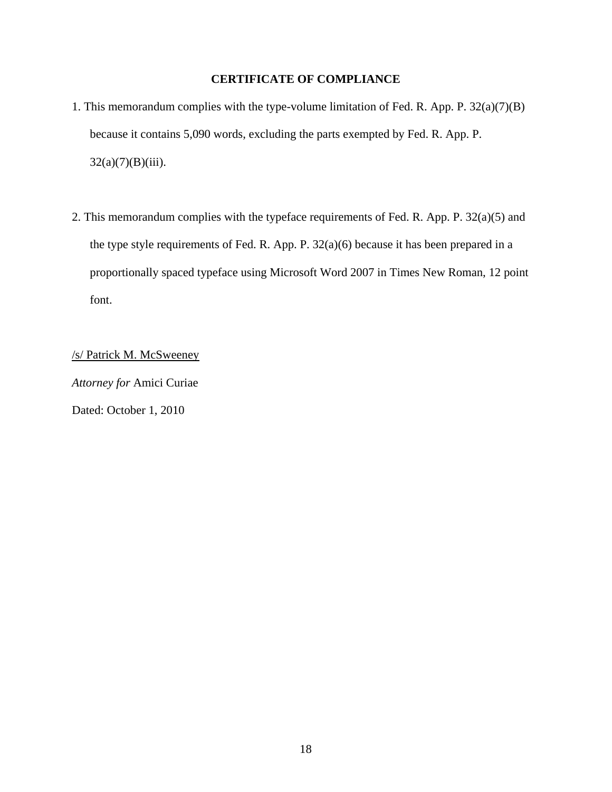## **CERTIFICATE OF COMPLIANCE**

- 1. This memorandum complies with the type-volume limitation of Fed. R. App. P. 32(a)(7)(B) because it contains 5,090 words, excluding the parts exempted by Fed. R. App. P.  $32(a)(7)(B)(iii)$ .
- 2. This memorandum complies with the typeface requirements of Fed. R. App. P. 32(a)(5) and the type style requirements of Fed. R. App. P. 32(a)(6) because it has been prepared in a proportionally spaced typeface using Microsoft Word 2007 in Times New Roman, 12 point font.

/s/ Patrick M. McSweeney

*Attorney for* Amici Curiae Dated: October 1, 2010